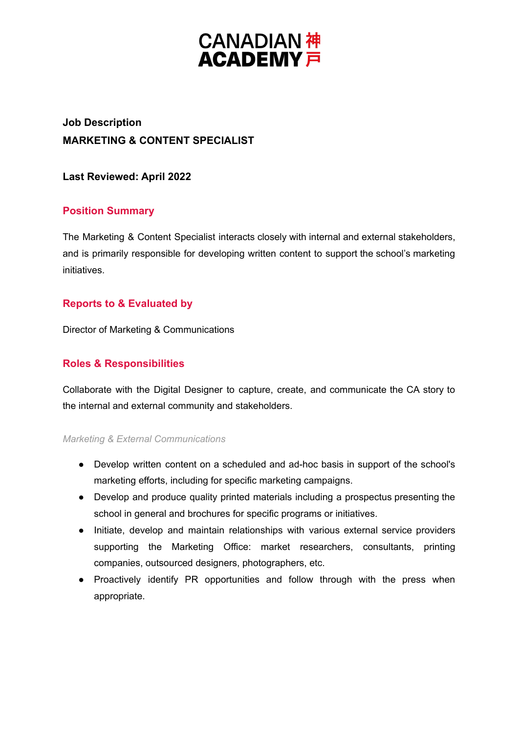# **CANADIAN 神<br>ACADEMY 戸**

# **Job Description MARKETING & CONTENT SPECIALIST**

## **Last Reviewed: April 2022**

# **Position Summary**

The Marketing & Content Specialist interacts closely with internal and external stakeholders, and is primarily responsible for developing written content to support the school's marketing initiatives.

# **Reports to & Evaluated by**

Director of Marketing & Communications

## **Roles & Responsibilities**

Collaborate with the Digital Designer to capture, create, and communicate the CA story to the internal and external community and stakeholders.

#### *Marketing & External Communications*

- Develop written content on a scheduled and ad-hoc basis in support of the school's marketing efforts, including for specific marketing campaigns.
- Develop and produce quality printed materials including a prospectus presenting the school in general and brochures for specific programs or initiatives.
- Initiate, develop and maintain relationships with various external service providers supporting the Marketing Office: market researchers, consultants, printing companies, outsourced designers, photographers, etc.
- Proactively identify PR opportunities and follow through with the press when appropriate.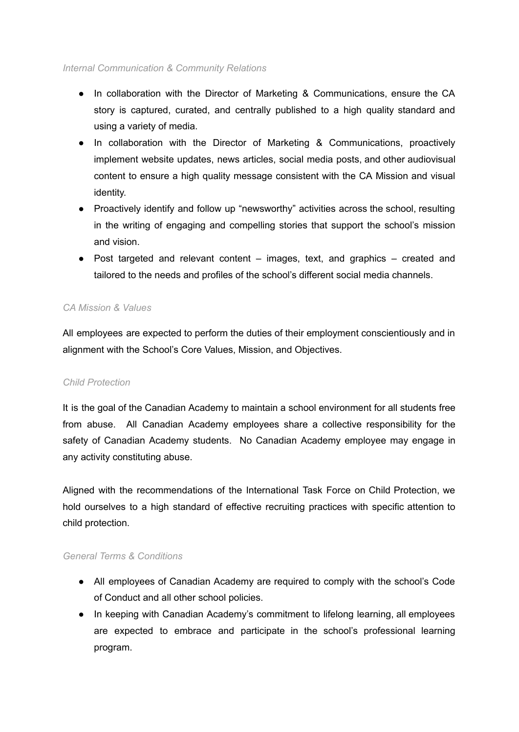#### *Internal Communication & Community Relations*

- In collaboration with the Director of Marketing & Communications, ensure the CA story is captured, curated, and centrally published to a high quality standard and using a variety of media.
- In collaboration with the Director of Marketing & Communications, proactively implement website updates, news articles, social media posts, and other audiovisual content to ensure a high quality message consistent with the CA Mission and visual identity.
- Proactively identify and follow up "newsworthy" activities across the school, resulting in the writing of engaging and compelling stories that support the school's mission and vision.
- $\bullet$  Post targeted and relevant content images, text, and graphics created and tailored to the needs and profiles of the school's different social media channels.

#### *CA Mission & Values*

All employees are expected to perform the duties of their employment conscientiously and in alignment with the School's Core Values, Mission, and Objectives.

#### *Child Protection*

It is the goal of the Canadian Academy to maintain a school environment for all students free from abuse. All Canadian Academy employees share a collective responsibility for the safety of Canadian Academy students. No Canadian Academy employee may engage in any activity constituting abuse.

Aligned with the recommendations of the International Task Force on Child Protection, we hold ourselves to a high standard of effective recruiting practices with specific attention to child protection.

#### *General Terms & Conditions*

- All employees of Canadian Academy are required to comply with the school's Code of Conduct and all other school policies.
- In keeping with Canadian Academy's commitment to lifelong learning, all employees are expected to embrace and participate in the school's professional learning program.